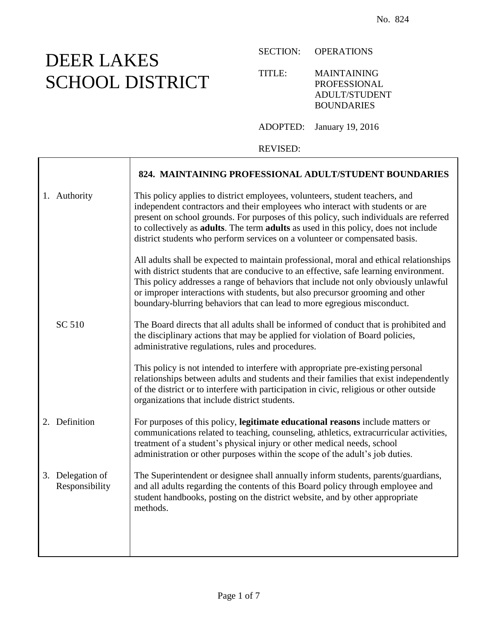## DEER LAKES SCHOOL DISTRICT

Τ

SECTION: OPERATIONS

TITLE: MAINTAINING PROFESSIONAL ADULT/STUDENT BOUNDARIES

ADOPTED: January 19, 2016

REVISED:

|                                    | 824. MAINTAINING PROFESSIONAL ADULT/STUDENT BOUNDARIES                                                                                                                                                                                                                                                                                                                                                                             |
|------------------------------------|------------------------------------------------------------------------------------------------------------------------------------------------------------------------------------------------------------------------------------------------------------------------------------------------------------------------------------------------------------------------------------------------------------------------------------|
| 1. Authority                       | This policy applies to district employees, volunteers, student teachers, and<br>independent contractors and their employees who interact with students or are<br>present on school grounds. For purposes of this policy, such individuals are referred<br>to collectively as adults. The term adults as used in this policy, does not include<br>district students who perform services on a volunteer or compensated basis.       |
|                                    | All adults shall be expected to maintain professional, moral and ethical relationships<br>with district students that are conducive to an effective, safe learning environment.<br>This policy addresses a range of behaviors that include not only obviously unlawful<br>or improper interactions with students, but also precursor grooming and other<br>boundary-blurring behaviors that can lead to more egregious misconduct. |
| SC 510                             | The Board directs that all adults shall be informed of conduct that is prohibited and<br>the disciplinary actions that may be applied for violation of Board policies,<br>administrative regulations, rules and procedures.                                                                                                                                                                                                        |
|                                    | This policy is not intended to interfere with appropriate pre-existing personal<br>relationships between adults and students and their families that exist independently<br>of the district or to interfere with participation in civic, religious or other outside<br>organizations that include district students.                                                                                                               |
| 2. Definition                      | For purposes of this policy, legitimate educational reasons include matters or<br>communications related to teaching, counseling, athletics, extracurricular activities,<br>treatment of a student's physical injury or other medical needs, school<br>administration or other purposes within the scope of the adult's job duties.                                                                                                |
| 3. Delegation of<br>Responsibility | The Superintendent or designee shall annually inform students, parents/guardians,<br>and all adults regarding the contents of this Board policy through employee and<br>student handbooks, posting on the district website, and by other appropriate<br>methods.                                                                                                                                                                   |
|                                    |                                                                                                                                                                                                                                                                                                                                                                                                                                    |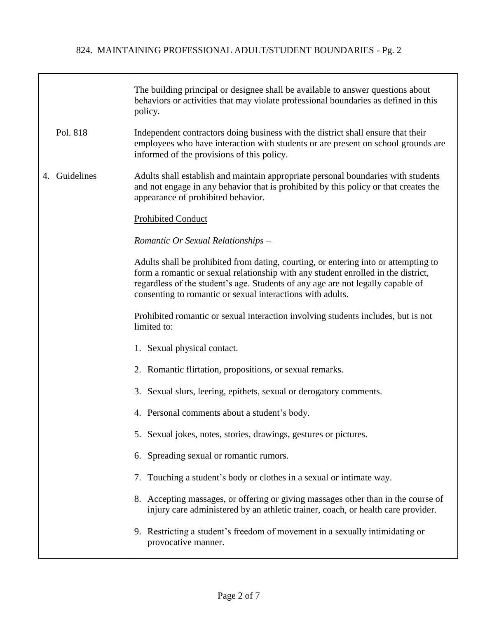|                  | The building principal or designee shall be available to answer questions about<br>behaviors or activities that may violate professional boundaries as defined in this<br>policy.                                                                                                                                         |
|------------------|---------------------------------------------------------------------------------------------------------------------------------------------------------------------------------------------------------------------------------------------------------------------------------------------------------------------------|
| Pol. 818         | Independent contractors doing business with the district shall ensure that their<br>employees who have interaction with students or are present on school grounds are<br>informed of the provisions of this policy.                                                                                                       |
| Guidelines<br>4. | Adults shall establish and maintain appropriate personal boundaries with students<br>and not engage in any behavior that is prohibited by this policy or that creates the<br>appearance of prohibited behavior.                                                                                                           |
|                  | <b>Prohibited Conduct</b>                                                                                                                                                                                                                                                                                                 |
|                  | Romantic Or Sexual Relationships -                                                                                                                                                                                                                                                                                        |
|                  | Adults shall be prohibited from dating, courting, or entering into or attempting to<br>form a romantic or sexual relationship with any student enrolled in the district,<br>regardless of the student's age. Students of any age are not legally capable of<br>consenting to romantic or sexual interactions with adults. |
|                  | Prohibited romantic or sexual interaction involving students includes, but is not<br>limited to:                                                                                                                                                                                                                          |
|                  | 1. Sexual physical contact.                                                                                                                                                                                                                                                                                               |
|                  | 2. Romantic flirtation, propositions, or sexual remarks.                                                                                                                                                                                                                                                                  |
|                  | 3. Sexual slurs, leering, epithets, sexual or derogatory comments.                                                                                                                                                                                                                                                        |
|                  | 4. Personal comments about a student's body.                                                                                                                                                                                                                                                                              |
|                  | 5. Sexual jokes, notes, stories, drawings, gestures or pictures.                                                                                                                                                                                                                                                          |
|                  | 6. Spreading sexual or romantic rumors.                                                                                                                                                                                                                                                                                   |
|                  | 7. Touching a student's body or clothes in a sexual or intimate way.                                                                                                                                                                                                                                                      |
|                  | 8. Accepting massages, or offering or giving massages other than in the course of<br>injury care administered by an athletic trainer, coach, or health care provider.                                                                                                                                                     |
|                  | 9. Restricting a student's freedom of movement in a sexually intimidating or<br>provocative manner.                                                                                                                                                                                                                       |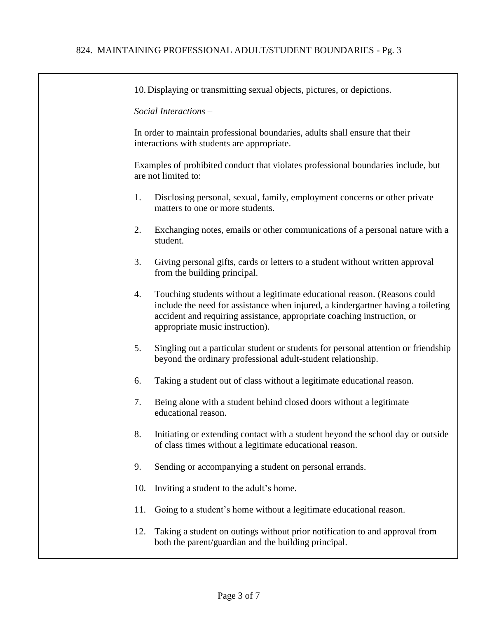┯

| 10. Displaying or transmitting sexual objects, pictures, or depictions.                                                                                                                                                                                                           |
|-----------------------------------------------------------------------------------------------------------------------------------------------------------------------------------------------------------------------------------------------------------------------------------|
| Social Interactions -                                                                                                                                                                                                                                                             |
| In order to maintain professional boundaries, adults shall ensure that their<br>interactions with students are appropriate.                                                                                                                                                       |
| Examples of prohibited conduct that violates professional boundaries include, but<br>are not limited to:                                                                                                                                                                          |
| Disclosing personal, sexual, family, employment concerns or other private<br>1.<br>matters to one or more students.                                                                                                                                                               |
| Exchanging notes, emails or other communications of a personal nature with a<br>2.<br>student.                                                                                                                                                                                    |
| 3.<br>Giving personal gifts, cards or letters to a student without written approval<br>from the building principal.                                                                                                                                                               |
| Touching students without a legitimate educational reason. (Reasons could<br>4.<br>include the need for assistance when injured, a kindergartner having a toileting<br>accident and requiring assistance, appropriate coaching instruction, or<br>appropriate music instruction). |
| 5.<br>Singling out a particular student or students for personal attention or friendship<br>beyond the ordinary professional adult-student relationship.                                                                                                                          |
| Taking a student out of class without a legitimate educational reason.<br>6.                                                                                                                                                                                                      |
| Being alone with a student behind closed doors without a legitimate<br>7.<br>educational reason.                                                                                                                                                                                  |
| 8.<br>Initiating or extending contact with a student beyond the school day or outside<br>of class times without a legitimate educational reason.                                                                                                                                  |
| Sending or accompanying a student on personal errands.<br>9.                                                                                                                                                                                                                      |
| Inviting a student to the adult's home.<br>10.                                                                                                                                                                                                                                    |
| Going to a student's home without a legitimate educational reason.<br>11.                                                                                                                                                                                                         |
| Taking a student on outings without prior notification to and approval from<br>12.<br>both the parent/guardian and the building principal.                                                                                                                                        |
|                                                                                                                                                                                                                                                                                   |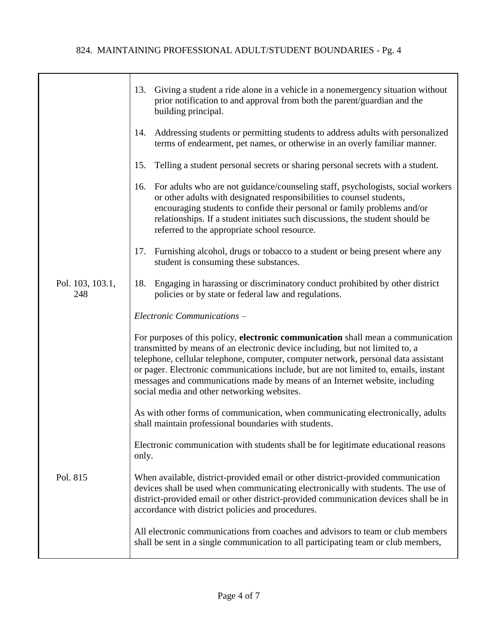|                         | 13.<br>Giving a student a ride alone in a vehicle in a nonemergency situation without<br>prior notification to and approval from both the parent/guardian and the<br>building principal.                                                                                                                                                                                                                                                                                      |
|-------------------------|-------------------------------------------------------------------------------------------------------------------------------------------------------------------------------------------------------------------------------------------------------------------------------------------------------------------------------------------------------------------------------------------------------------------------------------------------------------------------------|
|                         | Addressing students or permitting students to address adults with personalized<br>14.<br>terms of endearment, pet names, or otherwise in an overly familiar manner.                                                                                                                                                                                                                                                                                                           |
|                         | Telling a student personal secrets or sharing personal secrets with a student.<br>15.                                                                                                                                                                                                                                                                                                                                                                                         |
|                         | For adults who are not guidance/counseling staff, psychologists, social workers<br>16.<br>or other adults with designated responsibilities to counsel students,<br>encouraging students to confide their personal or family problems and/or<br>relationships. If a student initiates such discussions, the student should be<br>referred to the appropriate school resource.                                                                                                  |
|                         | 17.<br>Furnishing alcohol, drugs or tobacco to a student or being present where any<br>student is consuming these substances.                                                                                                                                                                                                                                                                                                                                                 |
| Pol. 103, 103.1,<br>248 | Engaging in harassing or discriminatory conduct prohibited by other district<br>18.<br>policies or by state or federal law and regulations.                                                                                                                                                                                                                                                                                                                                   |
|                         | Electronic Communications -                                                                                                                                                                                                                                                                                                                                                                                                                                                   |
|                         | For purposes of this policy, electronic communication shall mean a communication<br>transmitted by means of an electronic device including, but not limited to, a<br>telephone, cellular telephone, computer, computer network, personal data assistant<br>or pager. Electronic communications include, but are not limited to, emails, instant<br>messages and communications made by means of an Internet website, including<br>social media and other networking websites. |
|                         | As with other forms of communication, when communicating electronically, adults<br>shall maintain professional boundaries with students.                                                                                                                                                                                                                                                                                                                                      |
|                         | Electronic communication with students shall be for legitimate educational reasons<br>only.                                                                                                                                                                                                                                                                                                                                                                                   |
| Pol. 815                | When available, district-provided email or other district-provided communication<br>devices shall be used when communicating electronically with students. The use of<br>district-provided email or other district-provided communication devices shall be in<br>accordance with district policies and procedures.                                                                                                                                                            |
|                         | All electronic communications from coaches and advisors to team or club members<br>shall be sent in a single communication to all participating team or club members,                                                                                                                                                                                                                                                                                                         |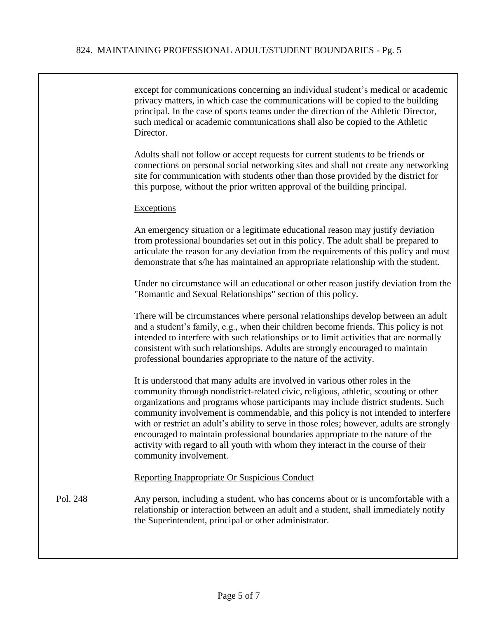|          | except for communications concerning an individual student's medical or academic<br>privacy matters, in which case the communications will be copied to the building<br>principal. In the case of sports teams under the direction of the Athletic Director,<br>such medical or academic communications shall also be copied to the Athletic<br>Director.                                                                                                                                                                                                                                                                                    |
|----------|----------------------------------------------------------------------------------------------------------------------------------------------------------------------------------------------------------------------------------------------------------------------------------------------------------------------------------------------------------------------------------------------------------------------------------------------------------------------------------------------------------------------------------------------------------------------------------------------------------------------------------------------|
|          | Adults shall not follow or accept requests for current students to be friends or<br>connections on personal social networking sites and shall not create any networking<br>site for communication with students other than those provided by the district for<br>this purpose, without the prior written approval of the building principal.                                                                                                                                                                                                                                                                                                 |
|          | <b>Exceptions</b>                                                                                                                                                                                                                                                                                                                                                                                                                                                                                                                                                                                                                            |
|          | An emergency situation or a legitimate educational reason may justify deviation<br>from professional boundaries set out in this policy. The adult shall be prepared to<br>articulate the reason for any deviation from the requirements of this policy and must<br>demonstrate that s/he has maintained an appropriate relationship with the student.                                                                                                                                                                                                                                                                                        |
|          | Under no circumstance will an educational or other reason justify deviation from the<br>"Romantic and Sexual Relationships" section of this policy.                                                                                                                                                                                                                                                                                                                                                                                                                                                                                          |
|          | There will be circumstances where personal relationships develop between an adult<br>and a student's family, e.g., when their children become friends. This policy is not<br>intended to interfere with such relationships or to limit activities that are normally<br>consistent with such relationships. Adults are strongly encouraged to maintain<br>professional boundaries appropriate to the nature of the activity.                                                                                                                                                                                                                  |
|          | It is understood that many adults are involved in various other roles in the<br>community through nondistrict-related civic, religious, athletic, scouting or other<br>organizations and programs whose participants may include district students. Such<br>community involvement is commendable, and this policy is not intended to interfere<br>with or restrict an adult's ability to serve in those roles; however, adults are strongly<br>encouraged to maintain professional boundaries appropriate to the nature of the<br>activity with regard to all youth with whom they interact in the course of their<br>community involvement. |
|          | Reporting Inappropriate Or Suspicious Conduct                                                                                                                                                                                                                                                                                                                                                                                                                                                                                                                                                                                                |
| Pol. 248 | Any person, including a student, who has concerns about or is uncomfortable with a<br>relationship or interaction between an adult and a student, shall immediately notify<br>the Superintendent, principal or other administrator.                                                                                                                                                                                                                                                                                                                                                                                                          |
|          |                                                                                                                                                                                                                                                                                                                                                                                                                                                                                                                                                                                                                                              |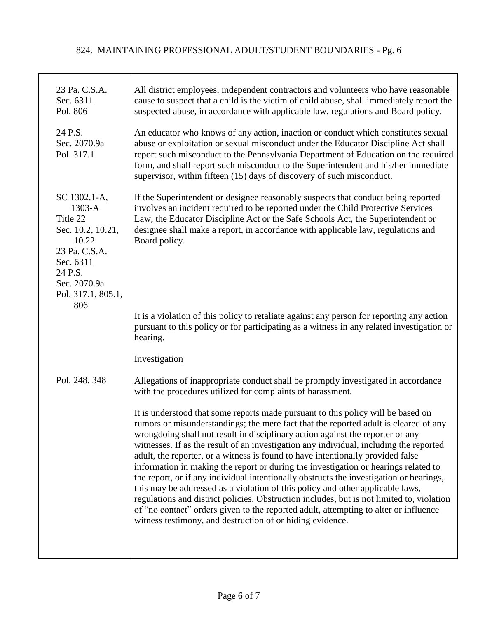| 23 Pa. C.S.A.<br>Sec. 6311<br>Pol. 806                                                                                                                   | All district employees, independent contractors and volunteers who have reasonable<br>cause to suspect that a child is the victim of child abuse, shall immediately report the<br>suspected abuse, in accordance with applicable law, regulations and Board policy.                                                                                                                                                                                                                                                                                                                                                                                                                                                                                                                                                                                                                                                                                           |
|----------------------------------------------------------------------------------------------------------------------------------------------------------|---------------------------------------------------------------------------------------------------------------------------------------------------------------------------------------------------------------------------------------------------------------------------------------------------------------------------------------------------------------------------------------------------------------------------------------------------------------------------------------------------------------------------------------------------------------------------------------------------------------------------------------------------------------------------------------------------------------------------------------------------------------------------------------------------------------------------------------------------------------------------------------------------------------------------------------------------------------|
| 24 P.S.<br>Sec. 2070.9a<br>Pol. 317.1                                                                                                                    | An educator who knows of any action, inaction or conduct which constitutes sexual<br>abuse or exploitation or sexual misconduct under the Educator Discipline Act shall<br>report such misconduct to the Pennsylvania Department of Education on the required<br>form, and shall report such misconduct to the Superintendent and his/her immediate<br>supervisor, within fifteen (15) days of discovery of such misconduct.                                                                                                                                                                                                                                                                                                                                                                                                                                                                                                                                  |
| SC 1302.1-A,<br>$1303-A$<br>Title 22<br>Sec. 10.2, 10.21,<br>10.22<br>23 Pa. C.S.A.<br>Sec. 6311<br>24 P.S.<br>Sec. 2070.9a<br>Pol. 317.1, 805.1,<br>806 | If the Superintendent or designee reasonably suspects that conduct being reported<br>involves an incident required to be reported under the Child Protective Services<br>Law, the Educator Discipline Act or the Safe Schools Act, the Superintendent or<br>designee shall make a report, in accordance with applicable law, regulations and<br>Board policy.                                                                                                                                                                                                                                                                                                                                                                                                                                                                                                                                                                                                 |
|                                                                                                                                                          | It is a violation of this policy to retaliate against any person for reporting any action<br>pursuant to this policy or for participating as a witness in any related investigation or<br>hearing.                                                                                                                                                                                                                                                                                                                                                                                                                                                                                                                                                                                                                                                                                                                                                            |
|                                                                                                                                                          | Investigation                                                                                                                                                                                                                                                                                                                                                                                                                                                                                                                                                                                                                                                                                                                                                                                                                                                                                                                                                 |
| Pol. 248, 348                                                                                                                                            | Allegations of inappropriate conduct shall be promptly investigated in accordance<br>with the procedures utilized for complaints of harassment.                                                                                                                                                                                                                                                                                                                                                                                                                                                                                                                                                                                                                                                                                                                                                                                                               |
|                                                                                                                                                          | It is understood that some reports made pursuant to this policy will be based on<br>rumors or misunderstandings; the mere fact that the reported adult is cleared of any<br>wrongdoing shall not result in disciplinary action against the reporter or any<br>witnesses. If as the result of an investigation any individual, including the reported<br>adult, the reporter, or a witness is found to have intentionally provided false<br>information in making the report or during the investigation or hearings related to<br>the report, or if any individual intentionally obstructs the investigation or hearings,<br>this may be addressed as a violation of this policy and other applicable laws,<br>regulations and district policies. Obstruction includes, but is not limited to, violation<br>of "no contact" orders given to the reported adult, attempting to alter or influence<br>witness testimony, and destruction of or hiding evidence. |
|                                                                                                                                                          |                                                                                                                                                                                                                                                                                                                                                                                                                                                                                                                                                                                                                                                                                                                                                                                                                                                                                                                                                               |